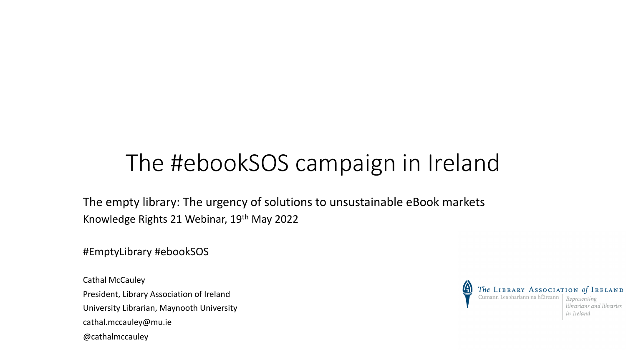### The #ebookSOS campaign in Ireland

The empty library: The urgency of solutions to unsustainable eBook markets Knowledge Rights 21 Webinar, 19th May 2022

#EmptyLibrary #ebookSOS

Cathal McCauley President, Library Association of Ireland University Librarian, Maynooth University cathal.mccauley@mu.ie @cathalmccauley

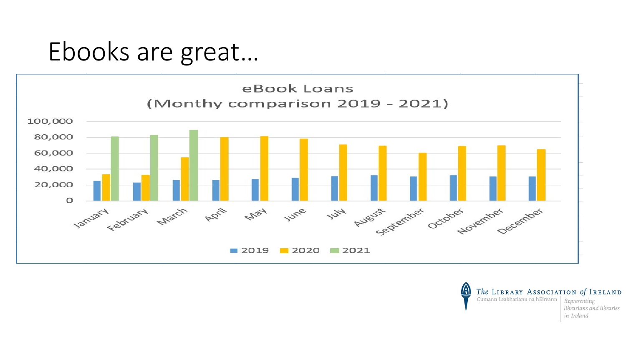### Ebooks are great...



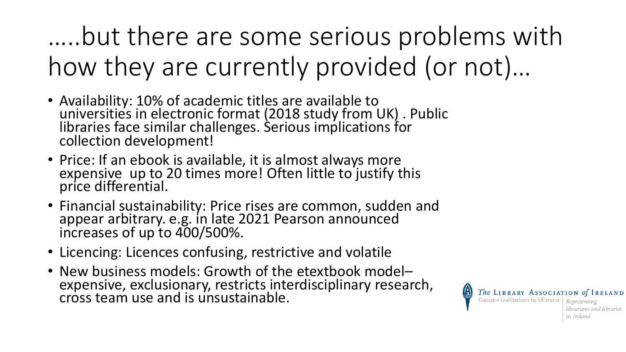…..but there are some serious problems with how they are currently provided (or not)…

- Availability: 10% of academic titles are available to universities in electronic format (2018 study from UK) . Public libraries face similar challenges. Serious implications for collection development!
- Price: If an ebook is available, it is almost always more<br>expensive up to 20 times more! Often little to justify this price differential.
- Financial sustainability: Price rises are common, sudden and appear arbitrary. e.g. in late 2021 Pearson announced increases of up to 400/500%.
- Licencing: Licences confusing, restrictive and volatile
- New business models: Growth of the etextbook model– expensive, exclusionary, restricts interdisciplinary research, cross team use and is unsustainable.

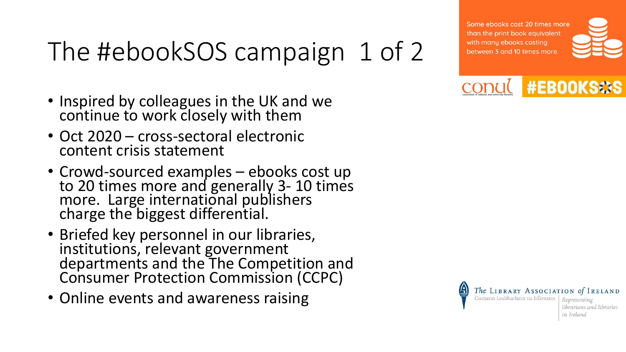# The #ebookSOS campaign 1 of 2

- Inspired by colleagues in the UK and we continue to work closely with them
- Oct 2020 cross-sectoral electronic content crisis statement
- Crowd-sourced examples ebooks cost up<br>to 20 times more and generally 3-10 times more. Large international publishers charge the biggest differential.
- Briefed key personnel in our libraries, institutions, relevant government departments and the The Competition and Consumer Protection Commission (CCPC)
- Online events and awareness raising

Some ebooks cost 20 times more than the print book equivalent with many ebooks costing between 3 and 10 times more.







librarians and libraries in Ireland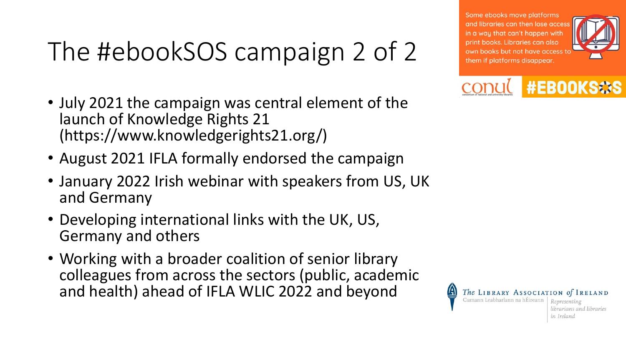# The #ebookSOS campaign 2 of 2

- July 2021 the campaign was central element of the launch of Knowledge Rights 21 (https://www.knowledgerights21.org/)
- August 2021 IFLA formally endorsed the campaign
- January 2022 Irish webinar with speakers from US, UK and Germany
- Developing international links with the UK, US, Germany and others
- Working with a broader coalition of senior library colleagues from across the sectors (public, academic and health) ahead of IFLA WLIC 2022 and beyond

Some ebooks move platforms and libraries can then lose accest in a way that can't happen with print books. Libraries can also own books but not have access to them if platforms disappear.





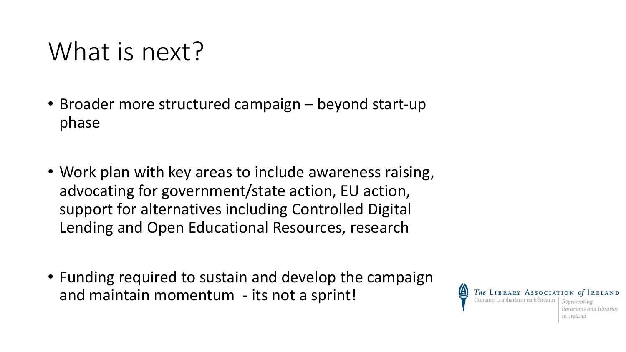### What is next?

- Broader more structured campaign beyond start-up phase
- Work plan with key areas to include awareness raising, advocating for government/state action, EU action, support for alternatives including Controlled Digital Lending and Open Educational Resources, research
- Funding required to sustain and develop the campaign and maintain momentum - its not a sprint!

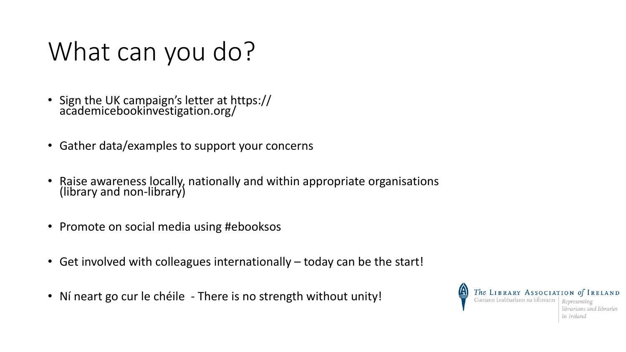# What can you do?

- Sign the UK campaign's letter at https:// academicebookinvestigation.org/
- Gather data/examples to support your concerns
- Raise awareness locally, nationally and within appropriate organisations (library and non-library)
- Promote on social media using #ebooksos
- Get involved with colleagues internationally today can be the start!
- Ní neart go cur le chéile There is no strength without unity!

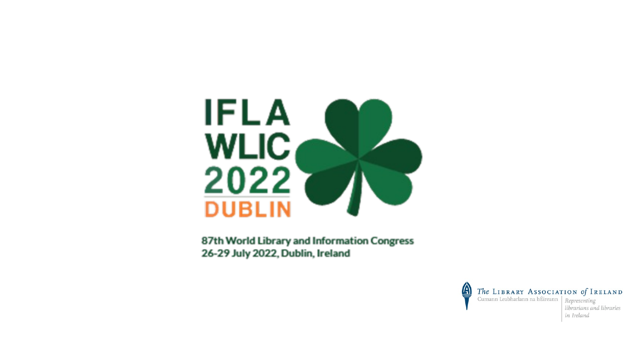

87th World Library and Information Congress 26-29 July 2022, Dublin, Ireland



in Ireland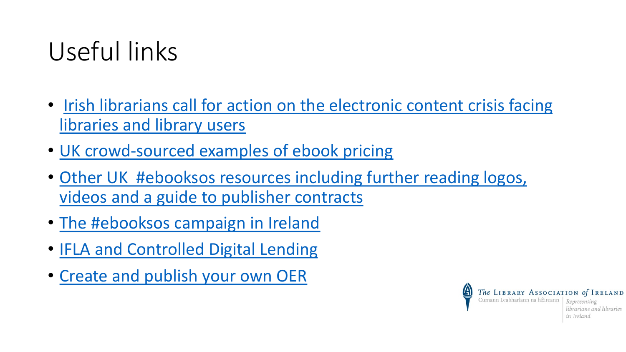# [Useful links](https://www.libraryassociation.ie/wp-content/uploads/2021/11/An_Leabharlann_30_2_Full.pdf)

- [Irish librarians call for action on th](https://libguides.library.nuigalway.ie/oer)e electronic libraries and library users
- UK crowd-sourced examples of ebook pricing
- Other UK #ebooksos resources including furth videos and a guide to publisher contracts
- The #ebooksos campaign in Ireland
- IFLA and Controlled Digital Lending
- Create and publish your own OER